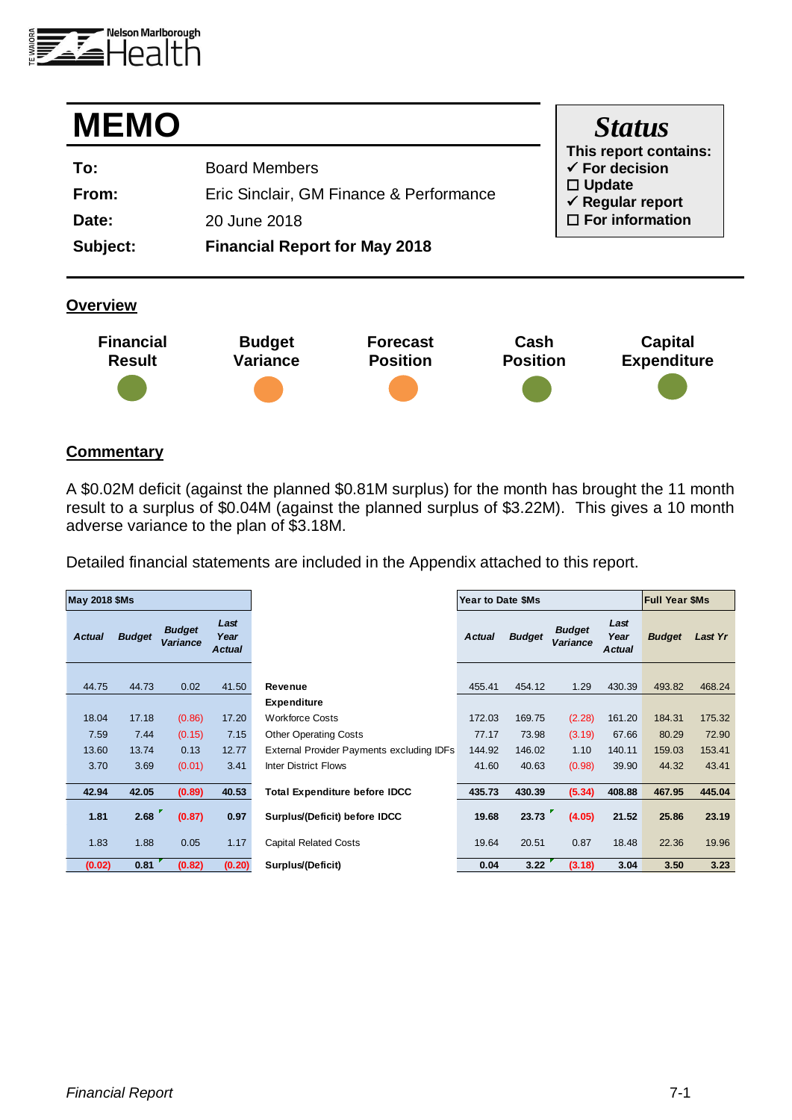

| <b>MEMO</b> |                                         | <b>Status</b>                                      |
|-------------|-----------------------------------------|----------------------------------------------------|
| To:         | <b>Board Members</b>                    | This report contains:<br>$\checkmark$ For decision |
| From:       | Eric Sinclair, GM Finance & Performance | $\Box$ Update<br>$\checkmark$ Regular report       |
| Date:       | 20 June 2018                            | $\Box$ For information                             |
| Subject:    | <b>Financial Report for May 2018</b>    |                                                    |
|             |                                         |                                                    |

### **Overview**



### **Commentary**

A \$0.02M deficit (against the planned \$0.81M surplus) for the month has brought the 11 month result to a surplus of \$0.04M (against the planned surplus of \$3.22M). This gives a 10 month adverse variance to the plan of \$3.18M.

Detailed financial statements are included in the Appendix attached to this report.

| <b>May 2018 \$Ms</b> |               |                           |                               |                                           | Year to Date \$Ms |               |                                  | <b>Full Year \$Ms</b>         |               |         |
|----------------------|---------------|---------------------------|-------------------------------|-------------------------------------------|-------------------|---------------|----------------------------------|-------------------------------|---------------|---------|
| <b>Actual</b>        | <b>Budget</b> | <b>Budget</b><br>Variance | Last<br>Year<br><b>Actual</b> |                                           | <b>Actual</b>     | <b>Budget</b> | <b>Budget</b><br><b>Variance</b> | Last<br>Year<br><b>Actual</b> | <b>Budget</b> | Last Yr |
|                      |               |                           |                               |                                           |                   |               |                                  |                               |               |         |
| 44.75                | 44.73         | 0.02                      | 41.50                         | Revenue                                   | 455.41            | 454.12        | 1.29                             | 430.39                        | 493.82        | 468.24  |
|                      |               |                           |                               | <b>Expenditure</b>                        |                   |               |                                  |                               |               |         |
| 18.04                | 17.18         | (0.86)                    | 17.20                         | <b>Workforce Costs</b>                    | 172.03            | 169.75        | (2.28)                           | 161.20                        | 184.31        | 175.32  |
| 7.59                 | 7.44          | (0.15)                    | 7.15                          | <b>Other Operating Costs</b>              | 77.17             | 73.98         | (3.19)                           | 67.66                         | 80.29         | 72.90   |
| 13.60                | 13.74         | 0.13                      | 12.77                         | External Provider Payments excluding IDFs | 144.92            | 146.02        | 1.10                             | 140.11                        | 159.03        | 153.41  |
| 3.70                 | 3.69          | (0.01)                    | 3.41                          | <b>Inter District Flows</b>               | 41.60             | 40.63         | (0.98)                           | 39.90                         | 44.32         | 43.41   |
|                      |               |                           |                               |                                           |                   |               |                                  |                               |               |         |
| 42.94                | 42.05         | (0.89)                    | 40.53                         | <b>Total Expenditure before IDCC</b>      | 435.73            | 430.39        | (5.34)                           | 408.88                        | 467.95        | 445.04  |
| 1.81                 | 2.68          | (0.87)                    | 0.97                          | Surplus/(Deficit) before IDCC             | 19.68             | 23.73         | (4.05)                           | 21.52                         | 25.86         | 23.19   |
| 1.83                 | 1.88          | 0.05                      | 1.17                          | <b>Capital Related Costs</b>              | 19.64             | 20.51         | 0.87                             | 18.48                         | 22.36         | 19.96   |
| (0.02)               | 0.81          | (0.82)                    | (0.20)                        | Surplus/(Deficit)                         | 0.04              | 3.22          | (3.18)                           | 3.04                          | 3.50          | 3.23    |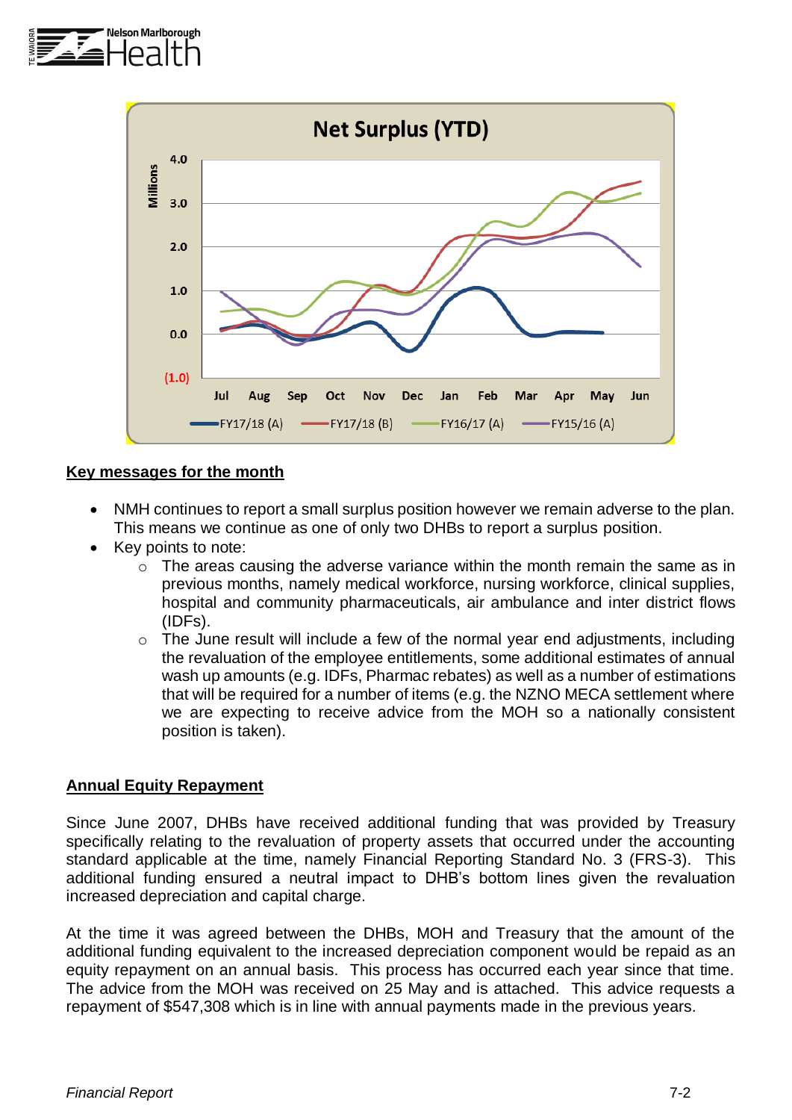



## **Key messages for the month**

- NMH continues to report a small surplus position however we remain adverse to the plan. This means we continue as one of only two DHBs to report a surplus position.
- Key points to note:
	- o The areas causing the adverse variance within the month remain the same as in previous months, namely medical workforce, nursing workforce, clinical supplies, hospital and community pharmaceuticals, air ambulance and inter district flows (IDFs).
	- o The June result will include a few of the normal year end adjustments, including the revaluation of the employee entitlements, some additional estimates of annual wash up amounts (e.g. IDFs, Pharmac rebates) as well as a number of estimations that will be required for a number of items (e.g. the NZNO MECA settlement where we are expecting to receive advice from the MOH so a nationally consistent position is taken).

## **Annual Equity Repayment**

Since June 2007, DHBs have received additional funding that was provided by Treasury specifically relating to the revaluation of property assets that occurred under the accounting standard applicable at the time, namely Financial Reporting Standard No. 3 (FRS-3). This additional funding ensured a neutral impact to DHB's bottom lines given the revaluation increased depreciation and capital charge.

At the time it was agreed between the DHBs, MOH and Treasury that the amount of the additional funding equivalent to the increased depreciation component would be repaid as an equity repayment on an annual basis. This process has occurred each year since that time. The advice from the MOH was received on 25 May and is attached. This advice requests a repayment of \$547,308 which is in line with annual payments made in the previous years.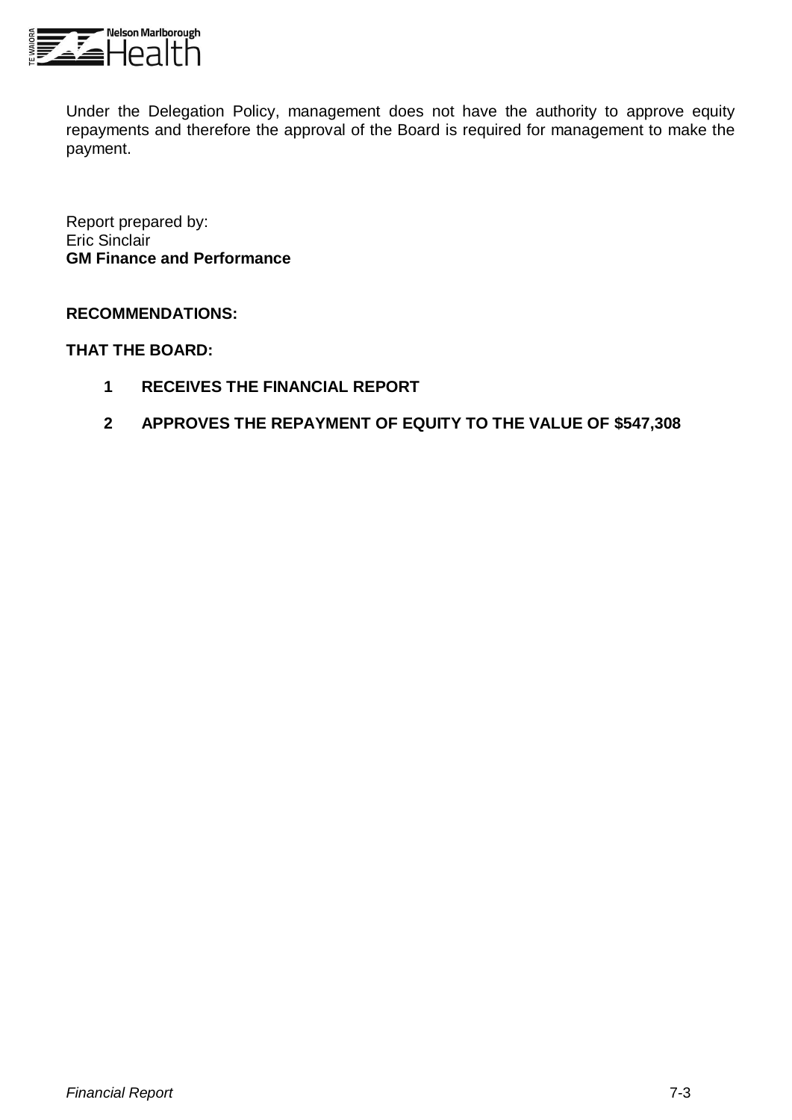

Under the Delegation Policy, management does not have the authority to approve equity repayments and therefore the approval of the Board is required for management to make the payment.

Report prepared by: Eric Sinclair **GM Finance and Performance**

## **RECOMMENDATIONS:**

### **THAT THE BOARD:**

- **1 RECEIVES THE FINANCIAL REPORT**
- **2 APPROVES THE REPAYMENT OF EQUITY TO THE VALUE OF \$547,308**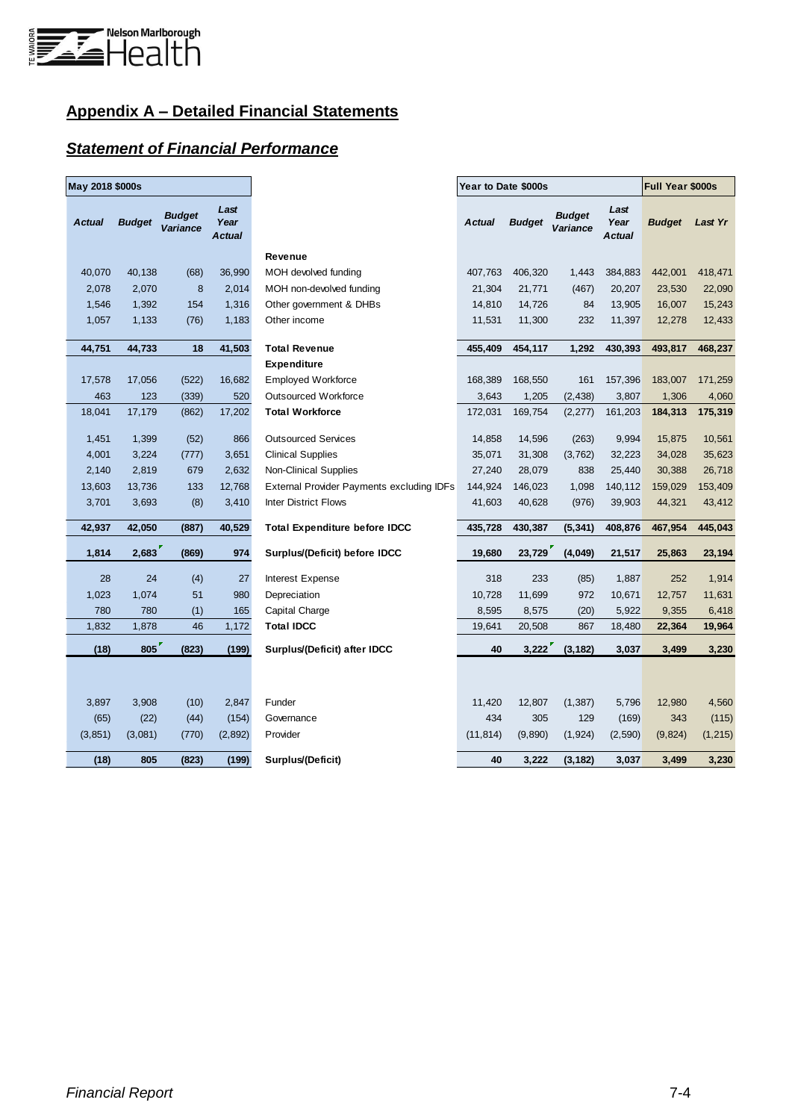

# **Appendix A – Detailed Financial Statements**

## *Statement of Financial Performance*

| May 2018 \$000s |               |                           |                        |                                                  | Year to Date \$000s                                                                          |         |               |          | Full Year \$000s |          |
|-----------------|---------------|---------------------------|------------------------|--------------------------------------------------|----------------------------------------------------------------------------------------------|---------|---------------|----------|------------------|----------|
| <b>Actual</b>   | <b>Budget</b> | <b>Budget</b><br>Variance | Last<br>Year<br>Actual |                                                  | Last<br><b>Budget</b><br><b>Actual</b><br><b>Budget</b><br>Year<br>Variance<br><b>Actual</b> |         | <b>Budget</b> | Last Yr  |                  |          |
|                 |               |                           |                        | Revenue                                          |                                                                                              |         |               |          |                  |          |
| 40,070          | 40,138        | (68)                      | 36,990                 | MOH devolved funding                             | 407,763                                                                                      | 406,320 | 1,443         | 384,883  | 442,001          | 418,471  |
| 2,078           | 2,070         | $\bf 8$                   | 2,014                  | MOH non-devolved funding                         | 21,304                                                                                       | 21,771  | (467)         | 20,207   | 23,530           | 22,090   |
| 1,546           | 1,392         | 154                       | 1,316                  | Other government & DHBs                          | 14,810                                                                                       | 14,726  | 84            | 13,905   | 16,007           | 15,243   |
| 1,057           | 1,133         | (76)                      | 1,183                  | Other income                                     | 11,531                                                                                       | 11,300  | 232           | 11,397   | 12,278           | 12,433   |
| 44,751          | 44,733        | 18                        | 41,503                 | <b>Total Revenue</b>                             | 455,409                                                                                      | 454,117 | 1,292         | 430,393  | 493,817          | 468,237  |
|                 |               |                           |                        | <b>Expenditure</b>                               |                                                                                              |         |               |          |                  |          |
| 17,578          | 17,056        | (522)                     | 16,682                 | <b>Employed Workforce</b>                        | 168,389                                                                                      | 168,550 | 161           | 157,396  | 183,007          | 171,259  |
| 463             | 123           | (339)                     | 520                    | <b>Outsourced Workforce</b>                      | 3,643                                                                                        | 1,205   | (2, 438)      | 3,807    | 1,306            | 4,060    |
| 18,041          | 17,179        | (862)                     | 17,202                 | <b>Total Workforce</b>                           | 172,031                                                                                      | 169,754 | (2, 277)      | 161,203  | 184,313          | 175,319  |
| 1,451           | 1,399         | (52)                      | 866                    | <b>Outsourced Services</b>                       | 14,858                                                                                       | 14,596  | (263)         | 9,994    | 15,875           | 10,561   |
| 4,001           | 3,224         | (777)                     | 3,651                  | <b>Clinical Supplies</b>                         | 35,071                                                                                       | 31,308  | (3,762)       | 32,223   | 34,028           | 35,623   |
| 2,140           | 2,819         | 679                       | 2,632                  | <b>Non-Clinical Supplies</b>                     | 27,240                                                                                       | 28,079  | 838           | 25,440   | 30,388           | 26,718   |
| 13,603          | 13,736        | 133                       | 12,768                 | <b>External Provider Payments excluding IDFs</b> | 144,924                                                                                      | 146,023 | 1,098         | 140,112  | 159,029          | 153,409  |
| 3,701           | 3,693         | (8)                       | 3,410                  | <b>Inter District Flows</b>                      | 41,603                                                                                       | 40,628  | (976)         | 39,903   | 44,321           | 43,412   |
| 42,937          | 42,050        | (887)                     | 40,529                 | <b>Total Expenditure before IDCC</b>             | 435,728                                                                                      | 430,387 | (5, 341)      | 408,876  | 467,954          | 445,043  |
| 1,814           | 2,683         | (869)                     | 974                    | Surplus/(Deficit) before IDCC                    | 19,680                                                                                       | 23,729  | (4,049)       | 21,517   | 25,863           | 23,194   |
| 28              | 24            | (4)                       | 27                     | Interest Expense                                 | 318                                                                                          | 233     | (85)          | 1,887    | 252              | 1,914    |
| 1,023           | 1,074         | 51                        | 980                    | Depreciation                                     | 10,728                                                                                       | 11,699  | 972           | 10,671   | 12,757           | 11,631   |
| 780             | 780           | (1)                       | 165                    | Capital Charge                                   | 8,595                                                                                        | 8,575   | (20)          | 5,922    | 9,355            | 6,418    |
| 1,832           | 1,878         | 46                        | 1,172                  | <b>Total IDCC</b>                                | 19,641                                                                                       | 20,508  | 867           | 18,480   | 22,364           | 19,964   |
| (18)            | 805           | (823)                     | (199)                  | Surplus/(Deficit) after IDCC                     | 40                                                                                           | 3,222   | (3, 182)      | 3,037    | 3,499            | 3,230    |
|                 |               |                           |                        |                                                  |                                                                                              |         |               |          |                  |          |
| 3,897           | 3,908         | (10)                      | 2,847                  | Funder                                           | 11,420                                                                                       | 12,807  | (1, 387)      | 5,796    | 12,980           | 4,560    |
| (65)            | (22)          | (44)                      | (154)                  | Governance                                       | 434                                                                                          | 305     | 129           | (169)    | 343              | (115)    |
| (3, 851)        | (3,081)       | (770)                     | (2,892)                | Provider                                         | (11, 814)                                                                                    | (9,890) | (1, 924)      | (2, 590) | (9, 824)         | (1, 215) |
| (18)            | 805           | (823)                     | (199)                  | Surplus/(Deficit)                                | 40                                                                                           | 3,222   | (3, 182)      | 3,037    | 3,499            | 3,230    |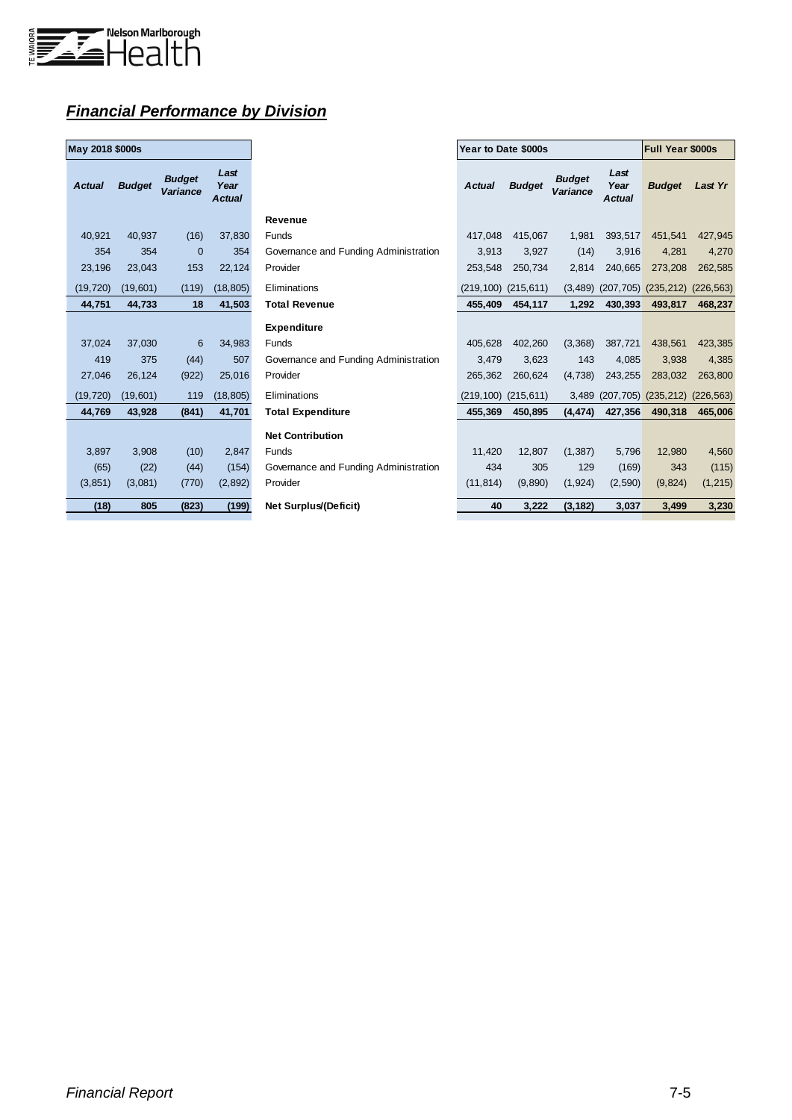

## *Financial Performance by Division*

| May 2018 \$000s |               |                           |                               |
|-----------------|---------------|---------------------------|-------------------------------|
| <b>Actual</b>   | <b>Budget</b> | <b>Budget</b><br>Variance | Last<br>Year<br><b>Actual</b> |
| 40.921          | 40,937        | (16)                      | 37,830                        |
| 354             | 354           | 0                         | 354                           |
| 23,196          | 23,043        | 153                       | 22,124                        |
| (19, 720)       | (19,601)      | (119)                     | (18, 805)                     |
| 44,751          | 44,733        | 18                        | 41,503                        |
|                 |               |                           |                               |
| 37,024          | 37,030        | 6                         | 34,983                        |
| 419             | 375           | (44)                      | 507                           |
| 27.046          | 26.124        | (922)                     | 25,016                        |
| (19, 720)       | (19,601)      | 119                       | (18, 805)                     |
| 44,769          | 43,928        | (841)                     | 41,701                        |
|                 |               |                           |                               |
| 3,897           | 3,908         | (10)                      | 2,847                         |
| (65)            | (22)          | (44)                      | (154)                         |
| (3, 851)        | (3,081)       | (770)                     | (2,892)                       |
| (18)            | 805           | (823)                     | (199)                         |

| May 2018 \$000s |               |                                  |                               |                                       | Year to Date \$000s       |               | <b>Full Year \$000s</b>   |                               |                                        |          |
|-----------------|---------------|----------------------------------|-------------------------------|---------------------------------------|---------------------------|---------------|---------------------------|-------------------------------|----------------------------------------|----------|
| <b>Actual</b>   | <b>Budget</b> | <b>Budget</b><br><b>Variance</b> | Last<br>Year<br><b>Actual</b> |                                       | <b>Actual</b>             | <b>Budget</b> | <b>Budget</b><br>Variance | Last<br>Year<br><b>Actual</b> | <b>Budget</b>                          | Last Yr  |
|                 |               |                                  |                               | <b>Revenue</b>                        |                           |               |                           |                               |                                        |          |
| 40,921          | 40,937        | (16)                             | 37,830                        | Funds                                 | 417,048                   | 415,067       | 1,981                     | 393,517                       | 451,541                                | 427,945  |
| 354             | 354           | $\overline{0}$                   | 354                           | Governance and Funding Administration | 3,913                     | 3,927         | (14)                      | 3,916                         | 4,281                                  | 4,270    |
| 23,196          | 23,043        | 153                              | 22,124                        | Provider                              | 253,548                   | 250,734       | 2.814                     | 240.665                       | 273,208                                | 262,585  |
| (19, 720)       | (19,601)      | (119)                            | (18, 805)                     | Eliminations                          | (219, 100)                | (215, 611)    | (3, 489)                  | (207, 705)                    | $(235, 212)$ $(226, 563)$              |          |
| 44,751          | 44,733        | 18                               | 41,503                        | <b>Total Revenue</b>                  | 455,409                   | 454,117       | 1,292                     | 430,393                       | 493,817                                | 468,237  |
|                 |               |                                  |                               | <b>Expenditure</b>                    |                           |               |                           |                               |                                        |          |
| 37,024          | 37,030        | 6                                | 34,983                        | <b>Funds</b>                          | 405.628                   | 402,260       | (3,368)                   | 387,721                       | 438,561                                | 423,385  |
| 419             | 375           | (44)                             | 507                           | Governance and Funding Administration | 3,479                     | 3.623         | 143                       | 4,085                         | 3,938                                  | 4,385    |
| 27,046          | 26,124        | (922)                            | 25,016                        | Provider                              | 265,362                   | 260,624       | (4, 738)                  | 243,255                       | 283,032                                | 263,800  |
| (19, 720)       | (19,601)      | 119                              | (18, 805)                     | Eliminations                          | $(219, 100)$ $(215, 611)$ |               | 3,489                     |                               | $(207, 705)$ $(235, 212)$ $(226, 563)$ |          |
| 44,769          | 43,928        | (841)                            | 41,701                        | <b>Total Expenditure</b>              | 455,369                   | 450.895       | (4, 474)                  | 427,356                       | 490,318                                | 465,006  |
|                 |               |                                  |                               | <b>Net Contribution</b>               |                           |               |                           |                               |                                        |          |
| 3,897           | 3,908         | (10)                             | 2,847                         | Funds                                 | 11,420                    | 12.807        | (1, 387)                  | 5,796                         | 12,980                                 | 4,560    |
| (65)            | (22)          | (44)                             | (154)                         | Governance and Funding Administration | 434                       | 305           | 129                       | (169)                         | 343                                    | (115)    |
| (3,851)         | (3,081)       | (770)                            | (2,892)                       | Provider                              | (11, 814)                 | (9,890)       | (1, 924)                  | (2,590)                       | (9,824)                                | (1, 215) |
| (18)            | 805           | (823)                            | (199)                         | <b>Net Surplus/(Deficit)</b>          | 40                        | 3,222         | (3, 182)                  | 3,037                         | 3,499                                  | 3,230    |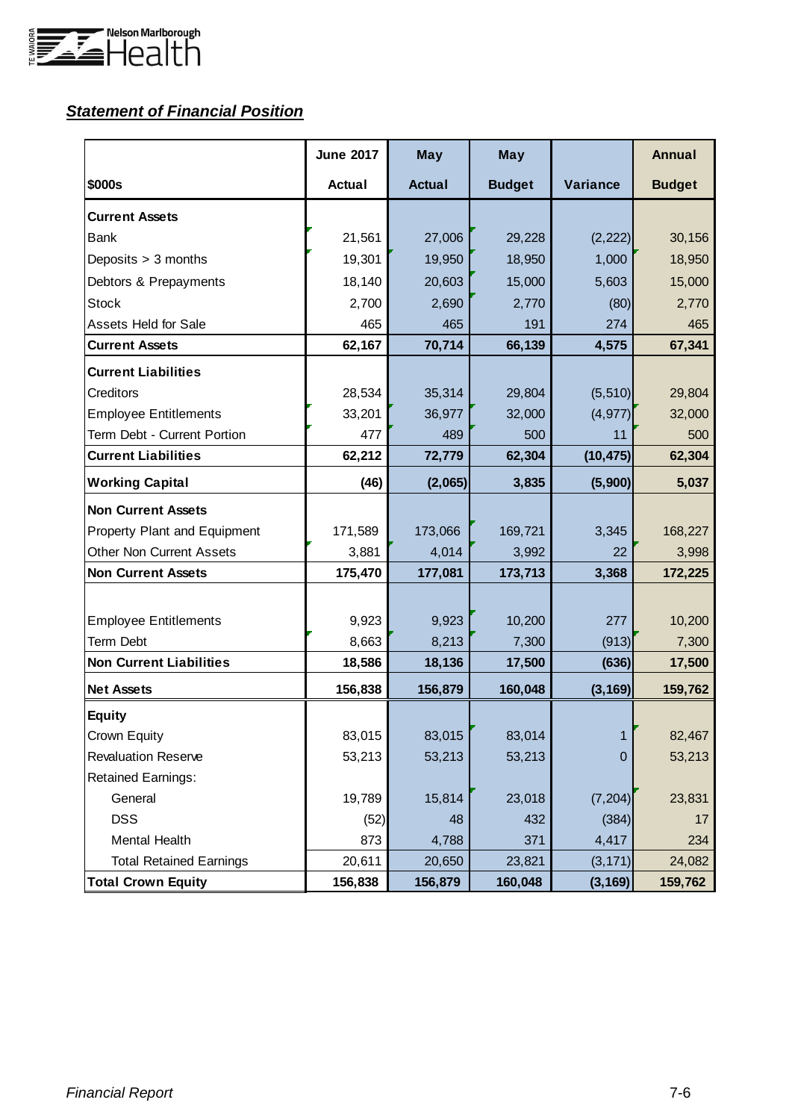

# *Statement of Financial Position*

|                                 | <b>June 2017</b> | <b>May</b>    | <b>May</b>    |                | <b>Annual</b> |
|---------------------------------|------------------|---------------|---------------|----------------|---------------|
| \$000s                          | <b>Actual</b>    | <b>Actual</b> | <b>Budget</b> | Variance       | <b>Budget</b> |
| <b>Current Assets</b>           |                  |               |               |                |               |
| Bank                            | 21,561           | 27,006        | 29,228        | (2, 222)       | 30,156        |
| Deposits > 3 months             | 19,301           | 19,950        | 18,950        | 1,000          | 18,950        |
| Debtors & Prepayments           | 18,140           | 20,603        | 15,000        | 5,603          | 15,000        |
| <b>Stock</b>                    | 2,700            | 2,690         | 2,770         | (80)           | 2,770         |
| <b>Assets Held for Sale</b>     | 465              | 465           | 191           | 274            | 465           |
| <b>Current Assets</b>           | 62,167           | 70,714        | 66,139        | 4,575          | 67,341        |
| <b>Current Liabilities</b>      |                  |               |               |                |               |
| Creditors                       | 28,534           | 35,314        | 29,804        | (5, 510)       | 29,804        |
| <b>Employee Entitlements</b>    | 33,201           | 36,977        | 32,000        | (4, 977)       | 32,000        |
| Term Debt - Current Portion     | 477              | 489           | 500           | 11             | 500           |
| <b>Current Liabilities</b>      | 62,212           | 72,779        | 62,304        | (10, 475)      | 62,304        |
| <b>Working Capital</b>          | (46)             | (2,065)       | 3,835         | (5,900)        | 5,037         |
| <b>Non Current Assets</b>       |                  |               |               |                |               |
| Property Plant and Equipment    | 171,589          | 173,066       | 169,721       | 3,345          | 168,227       |
| <b>Other Non Current Assets</b> | 3,881            | 4,014         | 3,992         | 22             | 3,998         |
| <b>Non Current Assets</b>       | 175,470          | 177,081       | 173,713       | 3,368          | 172,225       |
|                                 |                  |               |               |                |               |
| <b>Employee Entitlements</b>    | 9,923            | 9,923         | 10,200        | 277            | 10,200        |
| Term Debt                       | 8,663            | 8,213         | 7,300         | (913)          | 7,300         |
| <b>Non Current Liabilities</b>  | 18,586           | 18,136        | 17,500        | (636)          | 17,500        |
| <b>Net Assets</b>               | 156,838          | 156,879       | 160,048       | (3, 169)       | 159,762       |
| <b>Equity</b>                   |                  |               |               |                |               |
| Crown Equity                    | 83,015           | 83,015        | 83,014        | 1              | 82,467        |
| <b>Revaluation Reserve</b>      | 53,213           | 53,213        | 53,213        | $\overline{0}$ | 53,213        |
| <b>Retained Earnings:</b>       |                  |               |               |                |               |
| General                         | 19,789           | 15,814        | 23,018        | (7, 204)       | 23,831        |
| <b>DSS</b>                      | (52)             | 48            | 432           | (384)          | 17            |
| Mental Health                   | 873              | 4,788         | 371           | 4,417          | 234           |
| <b>Total Retained Earnings</b>  | 20,611           | 20,650        | 23,821        | (3, 171)       | 24,082        |
| <b>Total Crown Equity</b>       | 156,838          | 156,879       | 160,048       | (3, 169)       | 159,762       |